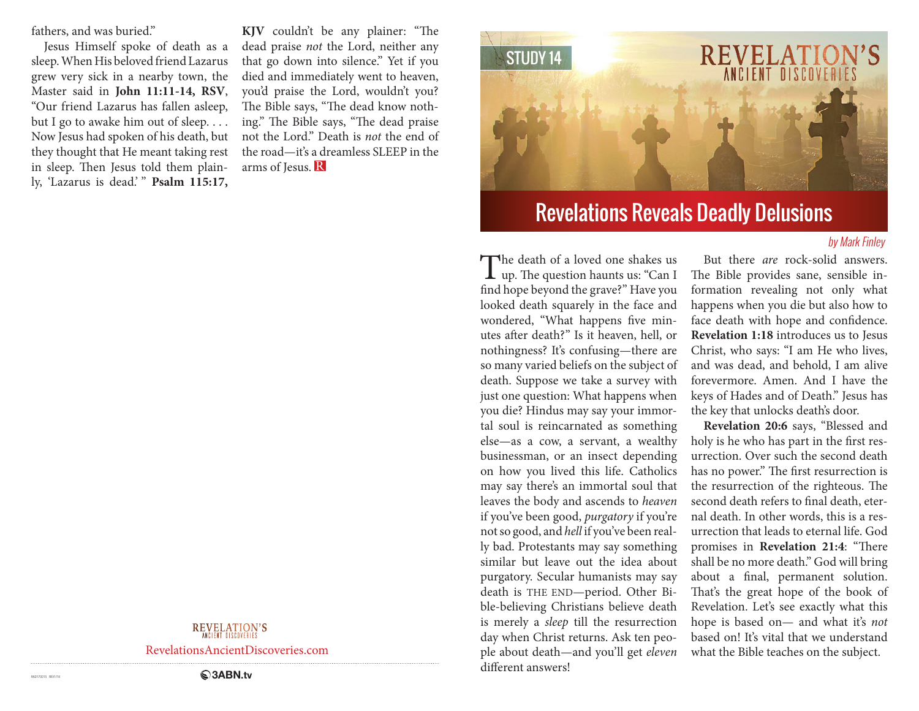fathers, and was buried."

Jesus Himself spoke of death as a sleep. When His beloved friend Lazarus grew very sick in a nearby town, the Master said in **John 11:11-14, RSV**, "Our friend Lazarus has fallen asleep, but I go to awake him out of sleep.... Now Jesus had spoken of his death, but they thought that He meant taking rest in sleep. Then Jesus told them plainly, 'Lazarus is dead.' " Psalm 115:17, **KJV** couldn't be any plainer: "The dead praise *not* the Lord, neither any that go down into silence." Yet if you died and immediately went to heaven, you'd praise the Lord, wouldn't you? The Bible says, "The dead know nothing." The Bible says, "The dead praise not the Lord." Death is *not* the end of the road—it's a dreamless SLEEP in the arms of Jesus. R



# Revelations Reveals Deadly Delusions

#### by Mark Finley

The death of a loved one shakes us<br>
up. The question haunts us: "Can I find hope beyond the grave?" Have you looked death squarely in the face and wondered, "What happens five minutes after death?" Is it heaven, hell, or nothingness? It's confusing—there are so many varied beliefs on the subject of death. Suppose we take a survey with just one question: What happens when you die? Hindus may say your immortal soul is reincarnated as something else—as a cow, a servant, a wealthy businessman, or an insect depending on how you lived this life. Catholics may say there's an immortal soul that leaves the body and ascends to *heaven* if you've been good, *purgatory* if you're not so good, and *hell* if you've been really bad. Protestants may say something similar but leave out the idea about purgatory. Secular humanists may say death is THE END—period. Other Bible-believing Christians believe death is merely a *sleep* till the resurrection day when Christ returns. Ask ten people about death—and you'll get *eleven* different answers!

But there *are* rock-solid answers. The Bible provides sane, sensible information revealing not only what happens when you die but also how to face death with hope and confidence. **Revelation 1:18** introduces us to Jesus Christ, who says: "I am He who lives, and was dead, and behold, I am alive forevermore. Amen. And I have the keys of Hades and of Death." Jesus has the key that unlocks death's door.

**Revelation 20:6** says, "Blessed and holy is he who has part in the first resurrection. Over such the second death has no power." The first resurrection is the resurrection of the righteous. The second death refers to final death, eternal death. In other words, this is a resurrection that leads to eternal life. God promises in **Revelation 21:4**: "There shall be no more death." God will bring about a final, permanent solution. That's the great hope of the book of Revelation. Let's see exactly what this hope is based on— and what it's *not*  based on! It's vital that we understand what the Bible teaches on the subject.

### REVELATION'S

RevelationsAncientDiscoveries.com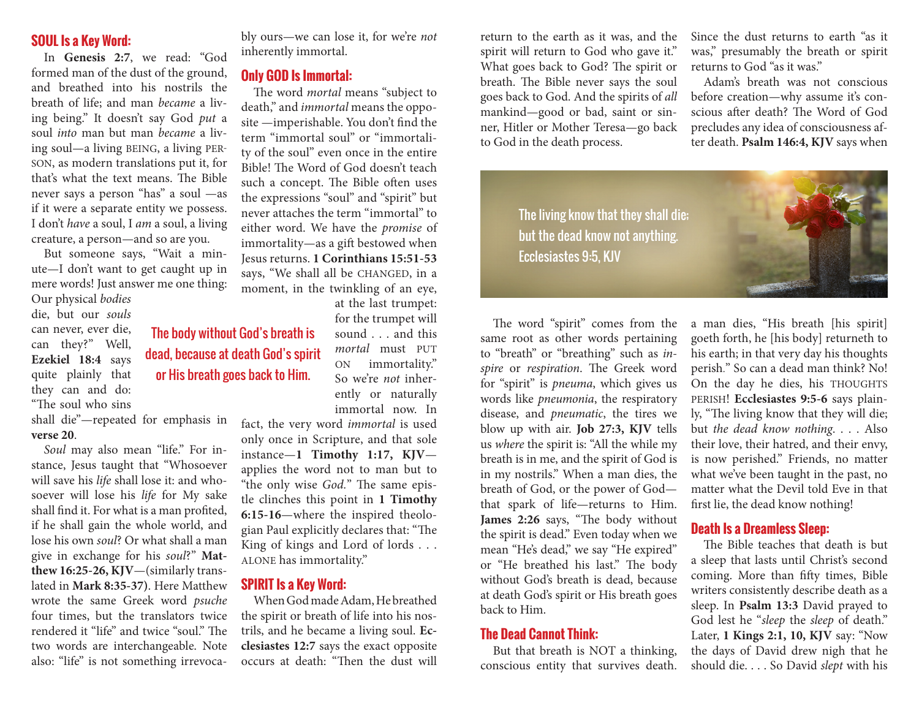### **SOUL Is a Key Word:**

In **Genesis 2:7**, we read: "God formed man of the dust of the ground, and breathed into his nostrils the breath of life; and man *became* a living being." It doesn't say God *put* a soul *into* man but man *became* a living soul—a living BEING, a living PER-SON, as modern translations put it, for that's what the text means. The Bible never says a person "has" a soul —as if it were a separate entity we possess. I don't *have* a soul, I *am* a soul, a living creature, a person—and so are you.

But someone says, "Wait a minute—I don't want to get caught up in mere words! Just answer me one thing: Our physical *bodies*

die, but our *souls*  can never, ever die, can they?" Well, **Ezekiel 18:4** says quite plainly that they can and do: "The soul who sins shall die"—repeated for emphasis in

#### **verse 20**.

*Soul* may also mean "life." For instance, Jesus taught that "Whosoever will save his *life* shall lose it: and whosoever will lose his *life* for My sake shall find it. For what is a man profited, if he shall gain the whole world, and lose his own *soul*? Or what shall a man give in exchange for his *soul*?" **Matthew 16:25-26, KJV**—(similarly translated in **Mark 8:35-37)**. Here Matthew wrote the same Greek word *psuche* four times, but the translators twice rendered it "life" and twice "soul." The two words are interchangeable. Note also: "life" is not something irrevocably ours—we can lose it, for we're *not*  inherently immortal.

#### **Only GOD Is Immortal:**

The word *mortal* means "subject to death," and *immortal* means the opposite —imperishable. You don't find the term "immortal soul" or "immortality of the soul" even once in the entire Bible! The Word of God doesn't teach such a concept. The Bible often uses the expressions "soul" and "spirit" but never attaches the term "immortal" to either word. We have the *promise* of immortality—as a gift bestowed when Jesus returns. **1 Corinthians 15:51-53** says, "We shall all be CHANGED, in a moment, in the twinkling of an eye,

at the last trumpet: for the trumpet will sound . . . and this *mortal* must PUT ON immortality." So we're *not* inherently or naturally immortal now. In

fact, the very word *immortal* is used only once in Scripture, and that sole instance—**1 Timothy 1:17, KJV** applies the word not to man but to "the only wise *God.*" The same epistle clinches this point in **1 Timothy 6:15-16**—where the inspired theologian Paul explicitly declares that: "The King of kings and Lord of lords . . . ALONE has immortality."

#### **SPIRIT Is a Key Word:**

The body without God's breath is dead, because at death God's spirit or His breath goes back to Him.

> When God made Adam, He breathed the spirit or breath of life into his nostrils, and he became a living soul. **Ecclesiastes 12:7** says the exact opposite occurs at death: "Then the dust will

return to the earth as it was, and the spirit will return to God who gave it." What goes back to God? The spirit or breath. The Bible never says the soul goes back to God. And the spirits of *all* mankind—good or bad, saint or sinner, Hitler or Mother Teresa—go back to God in the death process.

Since the dust returns to earth "as it was," presumably the breath or spirit returns to God "as it was."

Adam's breath was not conscious before creation—why assume it's conscious after death? The Word of God precludes any idea of consciousness after death. **Psalm 146:4, KJV** says when

The living know that they shall die; but the dead know not anything. Ecclesiastes 9:5, KJV



The word "spirit" comes from the same root as other words pertaining to "breath" or "breathing" such as *inspire* or *respiration*. The Greek word for "spirit" is *pneuma*, which gives us words like *pneumonia*, the respiratory disease, and *pneumatic*, the tires we blow up with air. **Job 27:3, KJV** tells us *where* the spirit is: "All the while my breath is in me, and the spirit of God is in my nostrils." When a man dies, the breath of God, or the power of God that spark of life—returns to Him. **James 2:26** says, "The body without the spirit is dead." Even today when we mean "He's dead," we say "He expired" or "He breathed his last." The body without God's breath is dead, because at death God's spirit or His breath goes back to Him.

#### **The Dead Cannot Think:**

But that breath is NOT a thinking, conscious entity that survives death. a man dies, "His breath [his spirit] goeth forth, he [his body] returneth to his earth; in that very day his thoughts perish." So can a dead man think? No! On the day he dies, his THOUGHTS PERISH! **Ecclesiastes 9:5-6** says plainly, "The living know that they will die; but *the dead know nothing*. . . . Also their love, their hatred, and their envy, is now perished." Friends, no matter what we've been taught in the past, no matter what the Devil told Eve in that first lie, the dead know nothing!

### **Death Is a Dreamless Sleep:**

The Bible teaches that death is but a sleep that lasts until Christ's second coming. More than fifty times, Bible writers consistently describe death as a sleep. In **Psalm 13:3** David prayed to God lest he "*sleep* the *sleep* of death." Later, **1 Kings 2:1, 10, KJV** say: "Now the days of David drew nigh that he should die. . . . So David *slept* with his